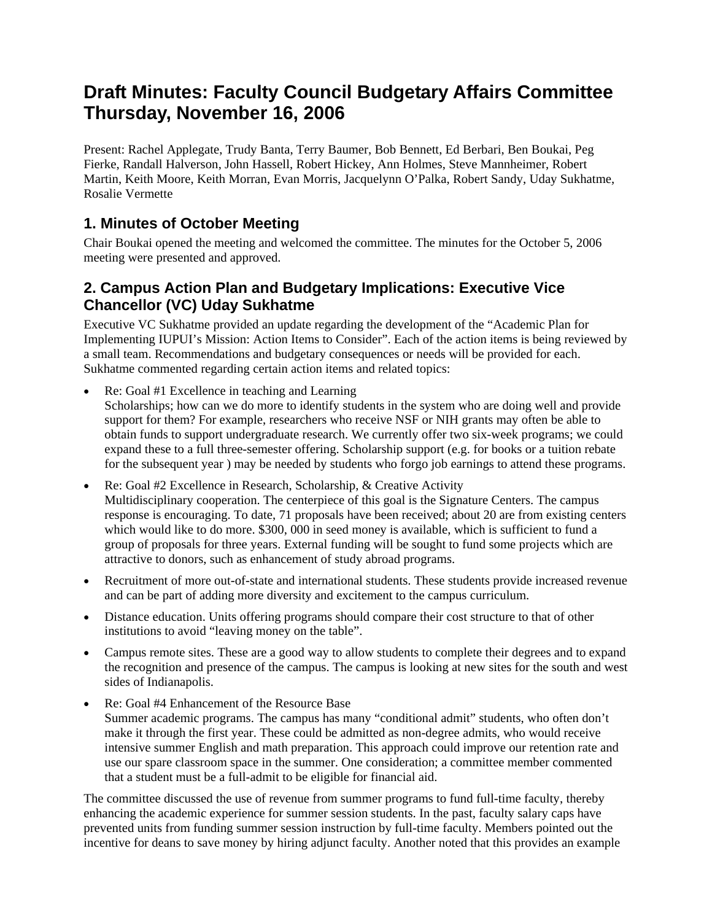# **Draft Minutes: Faculty Council Budgetary Affairs Committee Thursday, November 16, 2006**

Present: Rachel Applegate, Trudy Banta, Terry Baumer, Bob Bennett, Ed Berbari, Ben Boukai, Peg Fierke, Randall Halverson, John Hassell, Robert Hickey, Ann Holmes, Steve Mannheimer, Robert Martin, Keith Moore, Keith Morran, Evan Morris, Jacquelynn O'Palka, Robert Sandy, Uday Sukhatme, Rosalie Vermette

#### **1. Minutes of October Meeting**

Chair Boukai opened the meeting and welcomed the committee. The minutes for the October 5, 2006 meeting were presented and approved.

### **2. Campus Action Plan and Budgetary Implications: Executive Vice Chancellor (VC) Uday Sukhatme**

Executive VC Sukhatme provided an update regarding the development of the "Academic Plan for Implementing IUPUI's Mission: Action Items to Consider". Each of the action items is being reviewed by a small team. Recommendations and budgetary consequences or needs will be provided for each. Sukhatme commented regarding certain action items and related topics:

- Re: Goal #1 Excellence in teaching and Learning Scholarships; how can we do more to identify students in the system who are doing well and provide support for them? For example, researchers who receive NSF or NIH grants may often be able to obtain funds to support undergraduate research. We currently offer two six-week programs; we could expand these to a full three-semester offering. Scholarship support (e.g. for books or a tuition rebate for the subsequent year ) may be needed by students who forgo job earnings to attend these programs.
- Re: Goal #2 Excellence in Research, Scholarship, & Creative Activity Multidisciplinary cooperation. The centerpiece of this goal is the Signature Centers. The campus response is encouraging. To date, 71 proposals have been received; about 20 are from existing centers which would like to do more. \$300, 000 in seed money is available, which is sufficient to fund a group of proposals for three years. External funding will be sought to fund some projects which are attractive to donors, such as enhancement of study abroad programs.
- Recruitment of more out-of-state and international students. These students provide increased revenue and can be part of adding more diversity and excitement to the campus curriculum.
- Distance education. Units offering programs should compare their cost structure to that of other institutions to avoid "leaving money on the table".
- Campus remote sites. These are a good way to allow students to complete their degrees and to expand the recognition and presence of the campus. The campus is looking at new sites for the south and west sides of Indianapolis.
- Re: Goal #4 Enhancement of the Resource Base Summer academic programs. The campus has many "conditional admit" students, who often don't make it through the first year. These could be admitted as non-degree admits, who would receive intensive summer English and math preparation. This approach could improve our retention rate and use our spare classroom space in the summer. One consideration; a committee member commented that a student must be a full-admit to be eligible for financial aid.

The committee discussed the use of revenue from summer programs to fund full-time faculty, thereby enhancing the academic experience for summer session students. In the past, faculty salary caps have prevented units from funding summer session instruction by full-time faculty. Members pointed out the incentive for deans to save money by hiring adjunct faculty. Another noted that this provides an example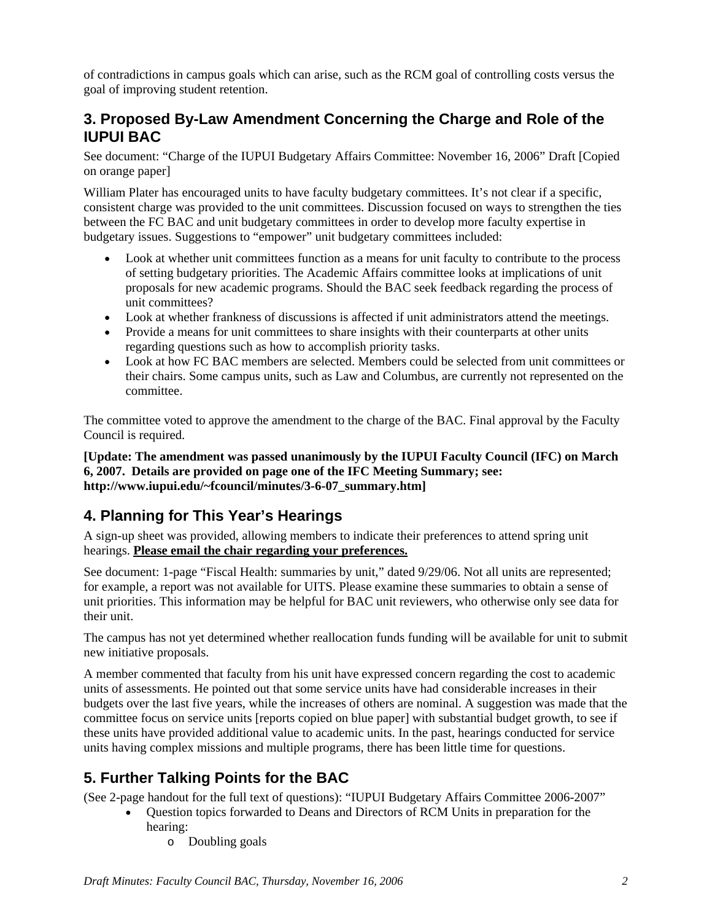of contradictions in campus goals which can arise, such as the RCM goal of controlling costs versus the goal of improving student retention.

### **3. Proposed By-Law Amendment Concerning the Charge and Role of the IUPUI BAC**

See document: "Charge of the IUPUI Budgetary Affairs Committee: November 16, 2006" Draft [Copied on orange paper]

William Plater has encouraged units to have faculty budgetary committees. It's not clear if a specific, consistent charge was provided to the unit committees. Discussion focused on ways to strengthen the ties between the FC BAC and unit budgetary committees in order to develop more faculty expertise in budgetary issues. Suggestions to "empower" unit budgetary committees included:

- Look at whether unit committees function as a means for unit faculty to contribute to the process of setting budgetary priorities. The Academic Affairs committee looks at implications of unit proposals for new academic programs. Should the BAC seek feedback regarding the process of unit committees?
- Look at whether frankness of discussions is affected if unit administrators attend the meetings.
- Provide a means for unit committees to share insights with their counterparts at other units regarding questions such as how to accomplish priority tasks.
- Look at how FC BAC members are selected. Members could be selected from unit committees or their chairs. Some campus units, such as Law and Columbus, are currently not represented on the committee.

The committee voted to approve the amendment to the charge of the BAC. Final approval by the Faculty Council is required.

**[Update: The amendment was passed unanimously by the IUPUI Faculty Council (IFC) on March 6, 2007. Details are provided on page one of the IFC Meeting Summary; see: http://www.iupui.edu/~fcouncil/minutes/3-6-07\_summary.htm]** 

## **4. Planning for This Year's Hearings**

A sign-up sheet was provided, allowing members to indicate their preferences to attend spring unit hearings. **Please email the chair regarding your preferences.** 

See document: 1-page "Fiscal Health: summaries by unit," dated 9/29/06. Not all units are represented; for example, a report was not available for UITS. Please examine these summaries to obtain a sense of unit priorities. This information may be helpful for BAC unit reviewers, who otherwise only see data for their unit.

The campus has not yet determined whether reallocation funds funding will be available for unit to submit new initiative proposals.

A member commented that faculty from his unit have expressed concern regarding the cost to academic units of assessments. He pointed out that some service units have had considerable increases in their budgets over the last five years, while the increases of others are nominal. A suggestion was made that the committee focus on service units [reports copied on blue paper] with substantial budget growth, to see if these units have provided additional value to academic units. In the past, hearings conducted for service units having complex missions and multiple programs, there has been little time for questions.

## **5. Further Talking Points for the BAC**

(See 2-page handout for the full text of questions): "IUPUI Budgetary Affairs Committee 2006-2007"

- Question topics forwarded to Deans and Directors of RCM Units in preparation for the hearing:
	- o Doubling goals